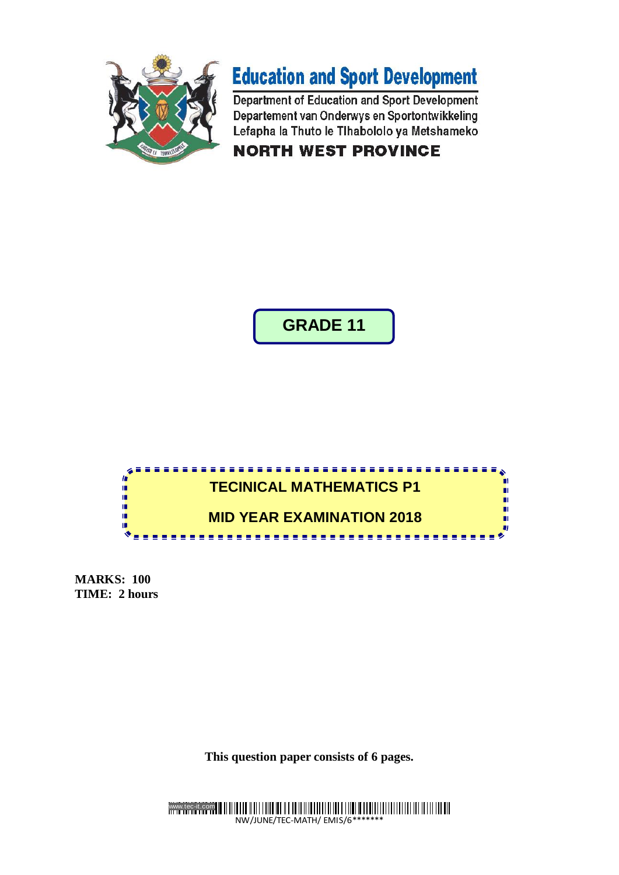



Department of Education and Sport Development Departement van Onderwys en Sportontwikkeling Lefapha la Thuto le Tlhabololo ya Metshameko **NORTH WEST PROVINCE** 

**GRADE 11**



**MARKS: 100 TIME: 2 hours**

**This question paper consists of 6 pages.**

www.tec-it.com NW/JUNE/TEC-MATH/ EMIS/6\*\*\*\*\*\*\*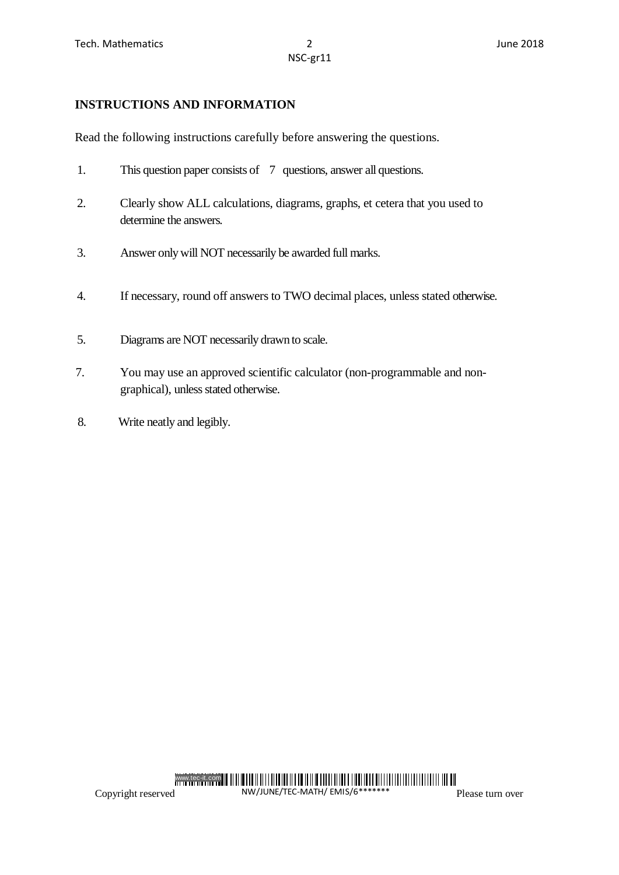## **INSTRUCTIONS AND INFORMATION**

Read the following instructions carefully before answering the questions.

- 1. This question paper consists of 7 questions, answer all questions.
- 2. Clearly show ALL calculations, diagrams, graphs, et cetera that you used to determine the answers.
- 3. Answer only will NOT necessarily be awarded full marks.
- 4. If necessary, round off answers to TWO decimal places, unless stated otherwise.
- 5. Diagrams are NOT necessarily drawn to scale.
- 7. You may use an approved scientific calculator (non-programmable and nongraphical), unless stated otherwise.
- 8. Write neatly and legibly.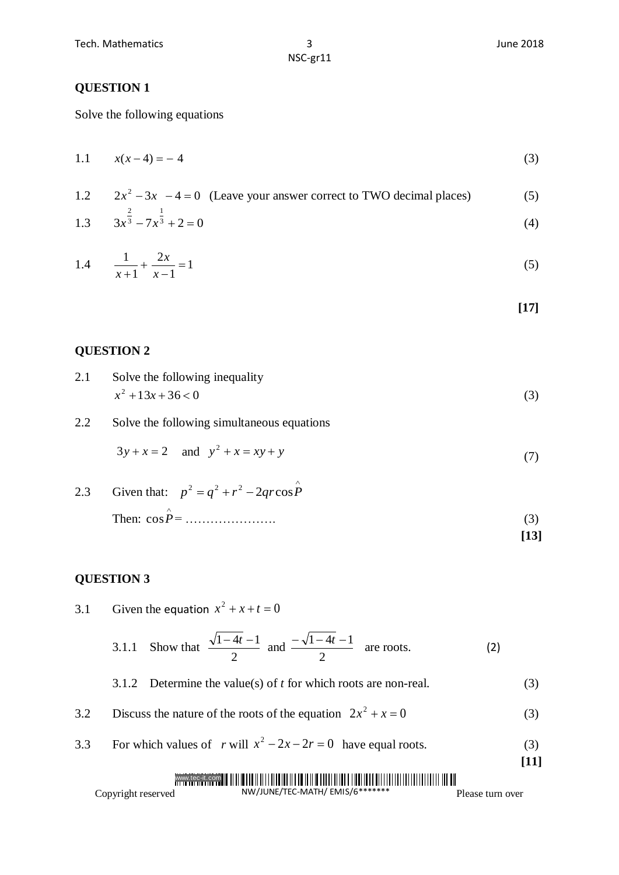NSC-gr11

### **QUESTION 1**

Solve the following equations

1.1 
$$
x(x-4) = -4
$$
 (3)

1.2 
$$
2x^2 - 3x - 4 = 0
$$
 (Leave your answer correct to TWO decimal places) (5)  
1.3 
$$
3x^{\frac{2}{3}} - 7x^{\frac{1}{3}} + 2 = 0
$$
 (4)

1.4 
$$
\frac{1}{x+1} + \frac{2x}{x-1} = 1
$$
 (5)

$$
[17]
$$

## **QUESTION 2**

| 2.1 | Solve the following inequality |  |
|-----|--------------------------------|--|
|     | $x^2+13x+36 < 0$               |  |

2.2 Solve the following simultaneous equations

$$
3y + x = 2 \quad \text{and} \quad y^2 + x = xy + y \tag{7}
$$

2.3 Given that:  $p^2 = q^2 + r^2 - 2qrcos\hat{P}$ Then: cos*P* = …………………. (3) **[13]**

### **QUESTION 3**

3.1 Given the equation  $x^2 + x + t = 0$ 

3.1.1 Show that 
$$
\frac{\sqrt{1-4t}-1}{2}
$$
 and  $\frac{-\sqrt{1-4t}-1}{2}$  are roots. (2)

3.1.2 Determine the value(s) of 
$$
t
$$
 for which roots are non-real. (3)

- 3.2 Discuss the nature of the roots of the equation  $2x^2 + x = 0$  (3)
- 3.3 For which values of *r* will  $x^2 2x 2r = 0$  have equal roots. (3)

#### www.tec-it.com

Copyright reserved

NW/JUNE/TEC-MATH/ EMIS/6\*\*\*\*\*\*\* Please turn over

**[11]**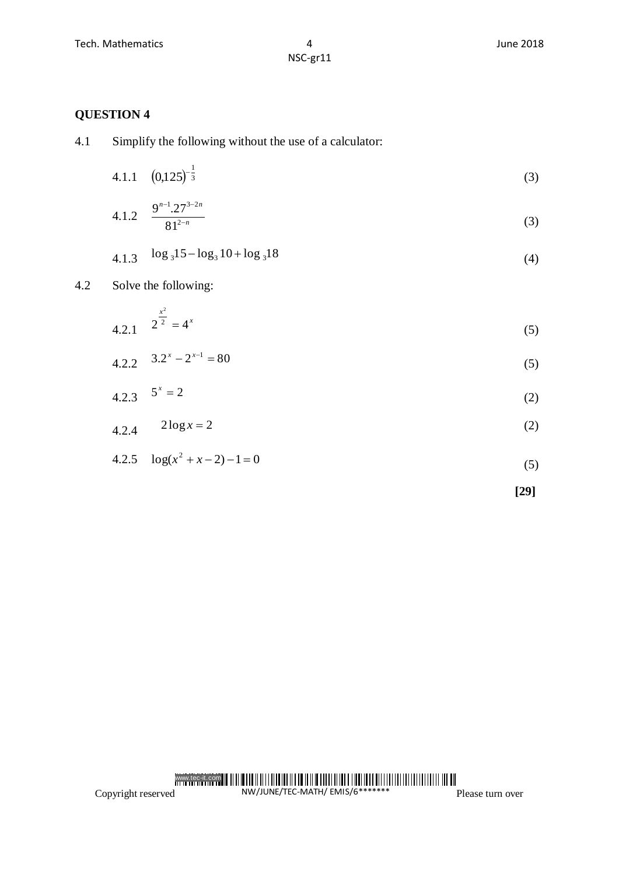# **QUESTION 4**

| Simplify the following without the use of a calculator: |
|---------------------------------------------------------|
|                                                         |

4.1.1 
$$
(0,125)^{-\frac{1}{3}}
$$
 (3)

4.1.2 
$$
\frac{9^{n-1} \cdot 27^{3-2n}}{81^{2-n}}
$$
 (3)

$$
4.1.3 \quad \log_3 15 - \log_3 10 + \log_3 18 \tag{4}
$$

# 4.2 Solve the following:

4.2.1 
$$
2^{\frac{x^2}{2}} = 4^x
$$
 (5)

$$
4.2.2 \t 3.2^{x} - 2^{x-1} = 80 \t (5)
$$

$$
4.2.3 \t 5x = 2 \t (2)
$$

$$
4.2.4 \qquad 2\log x = 2 \tag{2}
$$

$$
4.2.5 \quad \log(x^2 + x - 2) - 1 = 0 \tag{5}
$$

$$
[29]
$$

#### www.tec-it.com NW/JUNE/TEC-MATH/ EMIS/6\*\*\*\*\*\*\*

Copyright reserved

Please turn over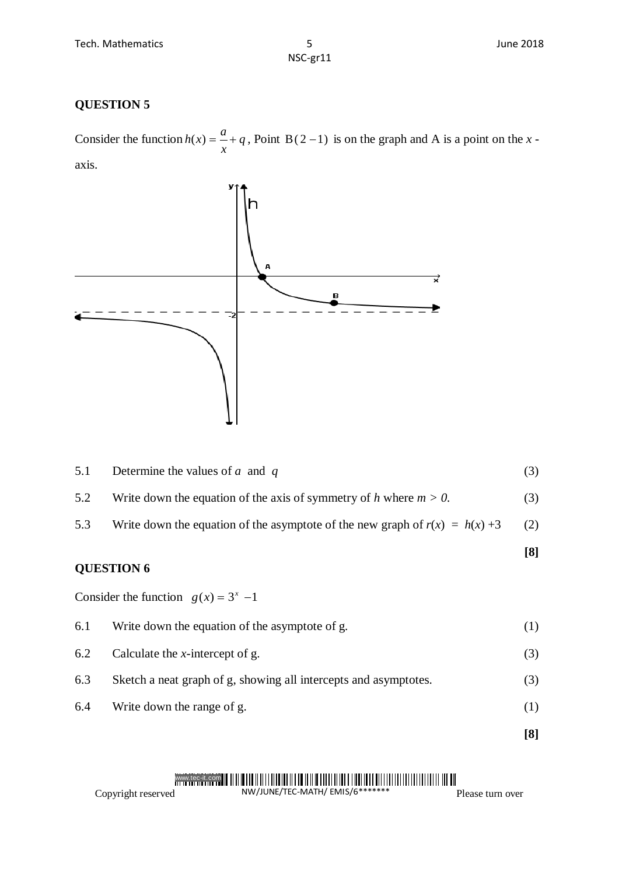# **QUESTION 5**

Consider the function  $h(x) = -\frac{a}{x} + q$ *x*  $h(x) = \frac{a}{x} + q$ , Point B(2-1) is on the graph and A is a point on the *x*axis.



| 5.1               | Determine the values of $a$ and $q$                                            | (3) |
|-------------------|--------------------------------------------------------------------------------|-----|
| 5.2               | Write down the equation of the axis of symmetry of h where $m > 0$ .           | (3) |
| 5.3               | Write down the equation of the asymptote of the new graph of $r(x) = h(x) + 3$ | (2) |
|                   |                                                                                | [8] |
| <b>QUESTION 6</b> |                                                                                |     |
|                   | Consider the function $g(x) = 3^x -1$                                          |     |
| 6.1               | Write down the equation of the asymptote of g.                                 | (1) |
| 6.2               | Calculate the <i>x</i> -intercept of g.                                        | (3) |
| 6.3               | Sketch a neat graph of g, showing all intercepts and asymptotes.               | (3) |

- 
- 6.4 Write down the range of g. (1)
	- **[8]**

### www.tec-it.com

Copyright reserved

NW/JUNE/TEC-MATH/ EMIS/6\*\*\*\*\*\*\*